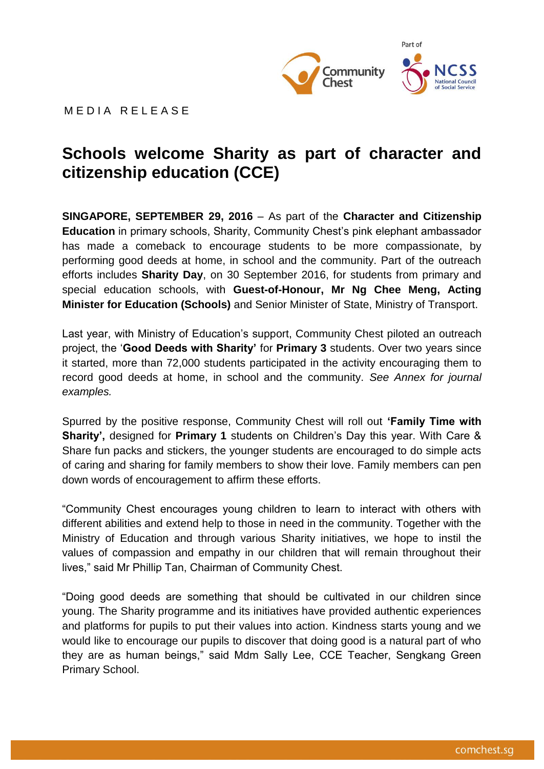

M F D I A R F I F A S F

# **Schools welcome Sharity as part of character and citizenship education (CCE) Embargoed until 2.30pm on 30 September 2016**

**SINGAPORE, SEPTEMBER 29, 2016** – As part of the **Character and Citizenship Education** in primary schools, Sharity, Community Chest's pink elephant ambassador has made a comeback to encourage students to be more compassionate, by performing good deeds at home, in school and the community. Part of the outreach efforts includes **Sharity Day**, on 30 September 2016, for students from primary and special education schools, with **Guest-of-Honour, Mr Ng Chee Meng, Acting Minister for Education (Schools)** and Senior Minister of State, Ministry of Transport.

Last year, with Ministry of Education's support, Community Chest piloted an outreach project, the '**Good Deeds with Sharity'** for **Primary 3** students. Over two years since it started, more than 72,000 students participated in the activity encouraging them to record good deeds at home, in school and the community. *See Annex for journal examples.* 

Spurred by the positive response, Community Chest will roll out **'Family Time with Sharity',** designed for **Primary 1** students on Children's Day this year. With Care & Share fun packs and stickers, the younger students are encouraged to do simple acts of caring and sharing for family members to show their love. Family members can pen down words of encouragement to affirm these efforts.

"Community Chest encourages young children to learn to interact with others with different abilities and extend help to those in need in the community. Together with the Ministry of Education and through various Sharity initiatives, we hope to instil the values of compassion and empathy in our children that will remain throughout their lives," said Mr Phillip Tan, Chairman of Community Chest.

"Doing good deeds are something that should be cultivated in our children since young. The Sharity programme and its initiatives have provided authentic experiences and platforms for pupils to put their values into action. Kindness starts young and we would like to encourage our pupils to discover that doing good is a natural part of who they are as human beings," said Mdm Sally Lee, CCE Teacher, Sengkang Green Primary School.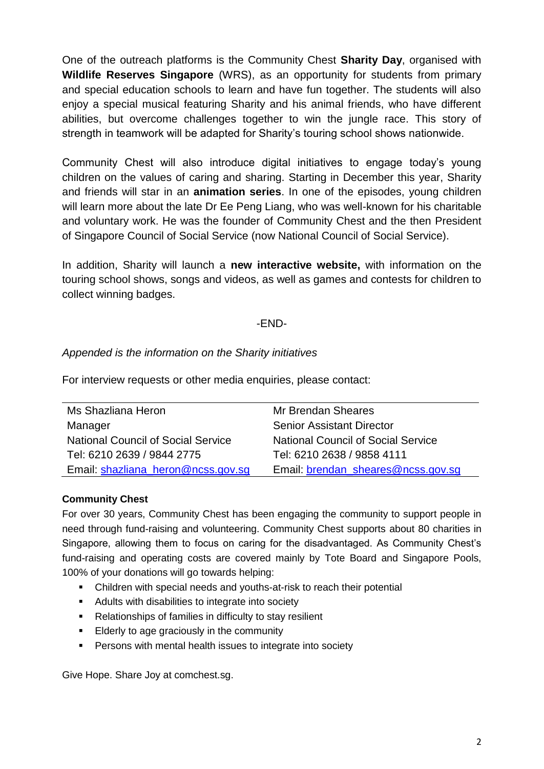One of the outreach platforms is the Community Chest **Sharity Day**, organised with **Wildlife Reserves Singapore** (WRS), as an opportunity for students from primary and special education schools to learn and have fun together. The students will also enjoy a special musical featuring Sharity and his animal friends, who have different abilities, but overcome challenges together to win the jungle race. This story of strength in teamwork will be adapted for Sharity's touring school shows nationwide.

Community Chest will also introduce digital initiatives to engage today's young children on the values of caring and sharing. Starting in December this year, Sharity and friends will star in an **animation series**. In one of the episodes, young children will learn more about the late Dr Ee Peng Liang, who was well-known for his charitable and voluntary work. He was the founder of Community Chest and the then President of Singapore Council of Social Service (now National Council of Social Service).

In addition, Sharity will launch a **new interactive website,** with information on the touring school shows, songs and videos, as well as games and contests for children to collect winning badges.

## -END-

## *Appended is the information on the Sharity initiatives*

For interview requests or other media enquiries, please contact:

| Ms Shazliana Heron                        | Mr Brendan Sheares                        |
|-------------------------------------------|-------------------------------------------|
| Manager                                   | <b>Senior Assistant Director</b>          |
| <b>National Council of Social Service</b> | <b>National Council of Social Service</b> |
| Tel: 6210 2639 / 9844 2775                | Tel: 6210 2638 / 9858 4111                |
| Email: shazliana_heron@ncss.gov.sg        | Email: brendan_sheares@ncss.gov.sg        |

#### **Community Chest**

For over 30 years, Community Chest has been engaging the community to support people in need through fund-raising and volunteering. Community Chest supports about 80 charities in Singapore, allowing them to focus on caring for the disadvantaged. As Community Chest's fund-raising and operating costs are covered mainly by Tote Board and Singapore Pools, 100% of your donations will go towards helping:

- Children with special needs and youths-at-risk to reach their potential
- **Adults with disabilities to integrate into society**
- Relationships of families in difficulty to stay resilient
- Elderly to age graciously in the community
- **Persons with mental health issues to integrate into society**

Give Hope. Share Joy at comchest.sg.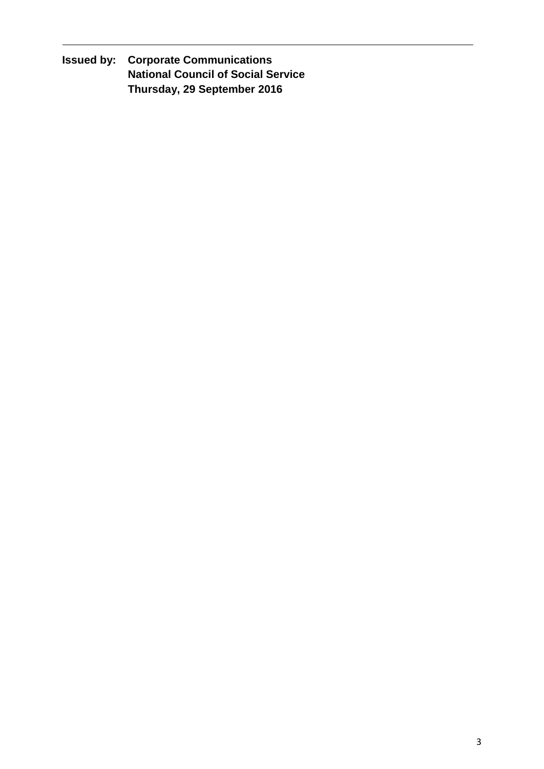**Issued by: Corporate Communications National Council of Social Service Thursday, 29 September 2016**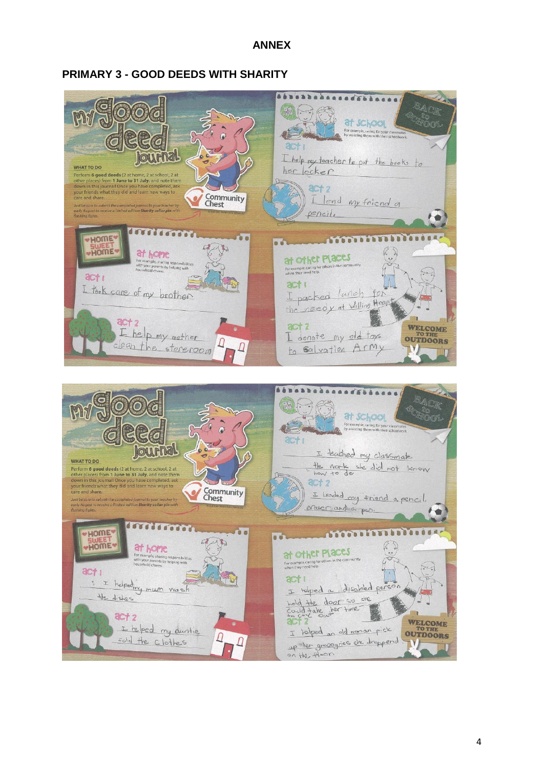#### **ANNEX**

#### **PRIMARY 3 - GOOD DEEDS WITH SHARITY**